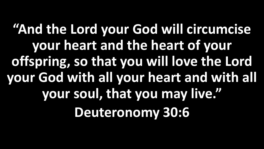**"And the Lord your God will circumcise your heart and the heart of your offspring, so that you will love the Lord your God with all your heart and with all your soul, that you may live." Deuteronomy 30:6**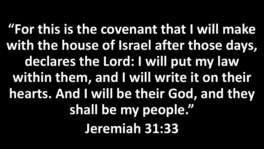**"For this is the covenant that I will make with the house of Israel after those days, declares the Lord: I will put my law within them, and I will write it on their hearts. And I will be their God, and they shall be my people." Jeremiah 31:33**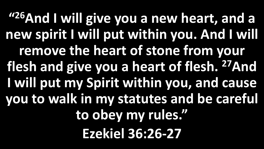**" <sup>26</sup>And I will give you a new heart, and a new spirit I will put within you. And I will remove the heart of stone from your flesh and give you a heart of flesh. <sup>27</sup>And I will put my Spirit within you, and cause you to walk in my statutes and be careful to obey my rules." Ezekiel 36:26-27**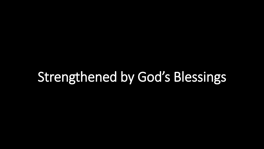## Strengthened by God's Blessings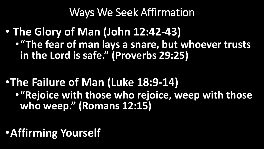Ways We Seek Affirmation

• **The Glory of Man (John 12:42-43)** •**"The fear of man lays a snare, but whoever trusts in the Lord is safe." (Proverbs 29:25)**

- •**The Failure of Man (Luke 18:9-14)** •**"Rejoice with those who rejoice, weep with those who weep." (Romans 12:15)**
- •**Affirming Yourself**